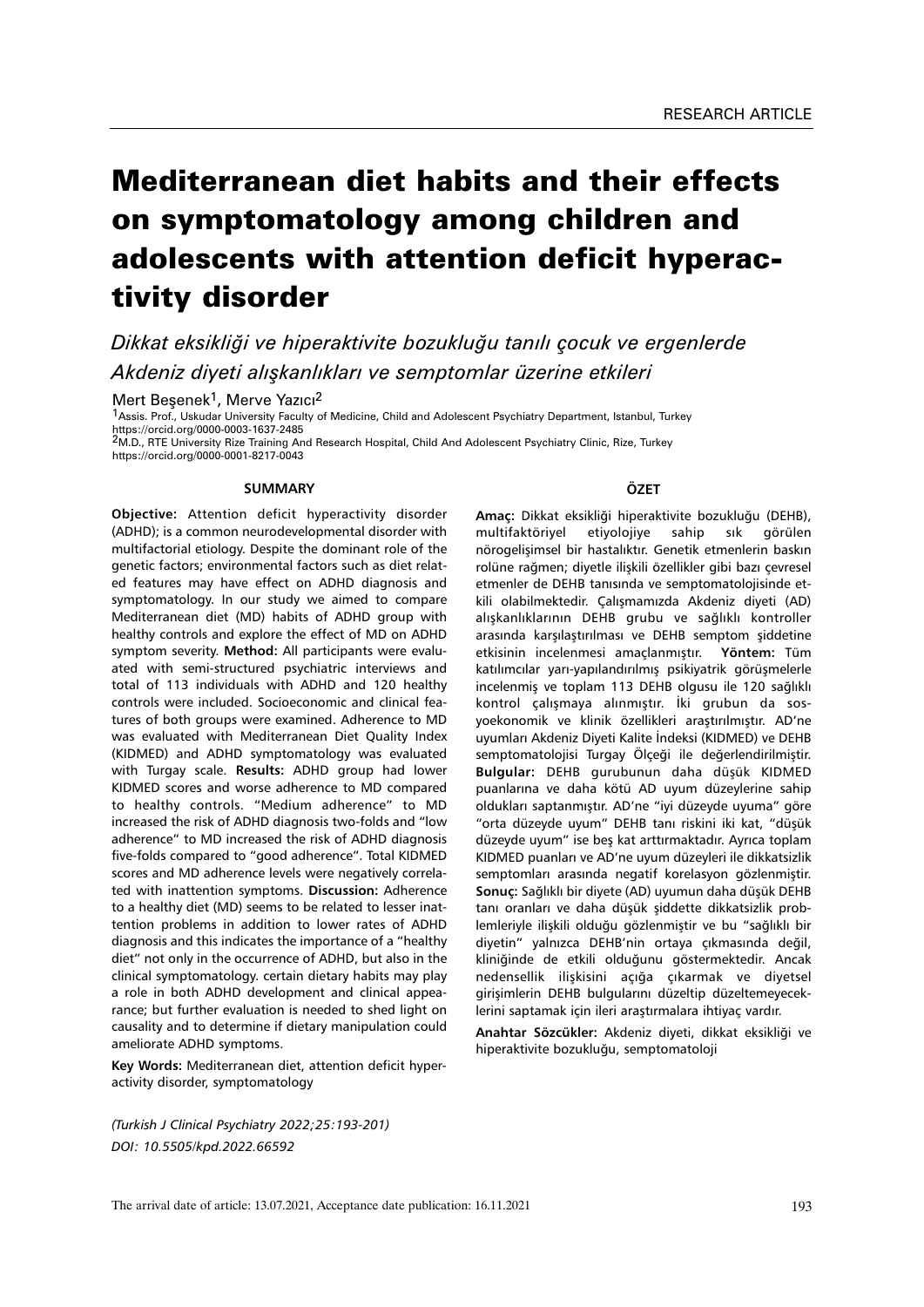# Mediterranean diet habits and their effects on symptomatology among children and adolescents with attention deficit hyperactivity disorder

*Dikkat eksikliği ve hiperaktivite bozukluğu tanılı çocuk ve ergenlerde Akdeniz diyeti alışkanlıkları ve semptomlar üzerine etkileri*

Mert Besenek<sup>1</sup>, Merve Yazıcı<sup>2</sup>

1Assis. Prof., Uskudar University Faculty of Medicine, Child and Adolescent Psychiatry Department, Istanbul, Turkey https://orcid.org/0000-0003-1637-2485

2M.D., RTE University Rize Training And Research Hospital, Child And Adolescent Psychiatry Clinic, Rize, Turkey https://orcid.org/0000-0001-8217-0043

#### **SUMMARY**

**Objective:** Attention deficit hyperactivity disorder (ADHD); is a common neurodevelopmental disorder with multifactorial etiology. Despite the dominant role of the genetic factors; environmental factors such as diet related features may have effect on ADHD diagnosis and symptomatology. In our study we aimed to compare Mediterranean diet (MD) habits of ADHD group with healthy controls and explore the effect of MD on ADHD symptom severity. **Method:** All participants were evaluated with semi-structured psychiatric interviews and total of 113 individuals with ADHD and 120 healthy controls were included. Socioeconomic and clinical features of both groups were examined. Adherence to MD was evaluated with Mediterranean Diet Quality Index (KIDMED) and ADHD symptomatology was evaluated with Turgay scale. **Results:** ADHD group had lower KIDMED scores and worse adherence to MD compared to healthy controls. "Medium adherence" to MD increased the risk of ADHD diagnosis two-folds and "low adherence" to MD increased the risk of ADHD diagnosis five-folds compared to "good adherence". Total KIDMED scores and MD adherence levels were negatively correlated with inattention symptoms. **Discussion:** Adherence to a healthy diet (MD) seems to be related to lesser inattention problems in addition to lower rates of ADHD diagnosis and this indicates the importance of a "healthy diet" not only in the occurrence of ADHD, but also in the clinical symptomatology. certain dietary habits may play a role in both ADHD development and clinical appearance; but further evaluation is needed to shed light on causality and to determine if dietary manipulation could ameliorate ADHD symptoms.

**Key Words:** Mediterranean diet, attention deficit hyperactivity disorder, symptomatology

*(Turkish J Clinical Psychiatry 2022;25:193-201) DOI: 10.5505/kpd.2022.66592*

## **ÖZET**

**Amaç:** Dikkat eksikliği hiperaktivite bozukluğu (DEHB), multifaktöriyel etiyolojiye sahip sık görülen nörogelişimsel bir hastalıktır. Genetik etmenlerin baskın rolüne rağmen; diyetle ilişkili özellikler gibi bazı çevresel etmenler de DEHB tanısında ve semptomatolojisinde etkili olabilmektedir. Çalışmamızda Akdeniz diyeti (AD) alışkanlıklarının DEHB grubu ve sağlıklı kontroller arasında karşılaştırılması ve DEHB semptom şiddetine etkisinin incelenmesi amaçlanmıştır. **Yöntem:** Tüm katılımcılar yarı-yapılandırılmış psikiyatrik görüşmelerle incelenmiş ve toplam 113 DEHB olgusu ile 120 sağlıklı kontrol çalışmaya alınmıştır. İki grubun da sosyoekonomik ve klinik özellikleri araştırılmıştır. AD'ne uyumları Akdeniz Diyeti Kalite İndeksi (KIDMED) ve DEHB semptomatolojisi Turgay Ölçeği ile değerlendirilmiştir. **Bulgular:** DEHB gurubunun daha düşük KIDMED puanlarına ve daha kötü AD uyum düzeylerine sahip oldukları saptanmıştır. AD'ne "iyi düzeyde uyuma" göre "orta düzeyde uyum" DEHB tanı riskini iki kat, "düşük düzeyde uyum" ise beş kat arttırmaktadır. Ayrıca toplam KIDMED puanları ve AD'ne uyum düzeyleri ile dikkatsizlik semptomları arasında negatif korelasyon gözlenmiştir. **Sonuç:** Sağlıklı bir diyete (AD) uyumun daha düşük DEHB tanı oranları ve daha düşük şiddette dikkatsizlik problemleriyle ilişkili olduğu gözlenmiştir ve bu "sağlıklı bir diyetin" yalnızca DEHB'nin ortaya çıkmasında değil, kliniğinde de etkili olduğunu göstermektedir. Ancak nedensellik ilişkisini açığa çıkarmak ve diyetsel girişimlerin DEHB bulgularını düzeltip düzeltemeyeceklerini saptamak için ileri araştırmalara ihtiyaç vardır.

**Anahtar Sözcükler:** Akdeniz diyeti, dikkat eksikliği ve hiperaktivite bozukluğu, semptomatoloji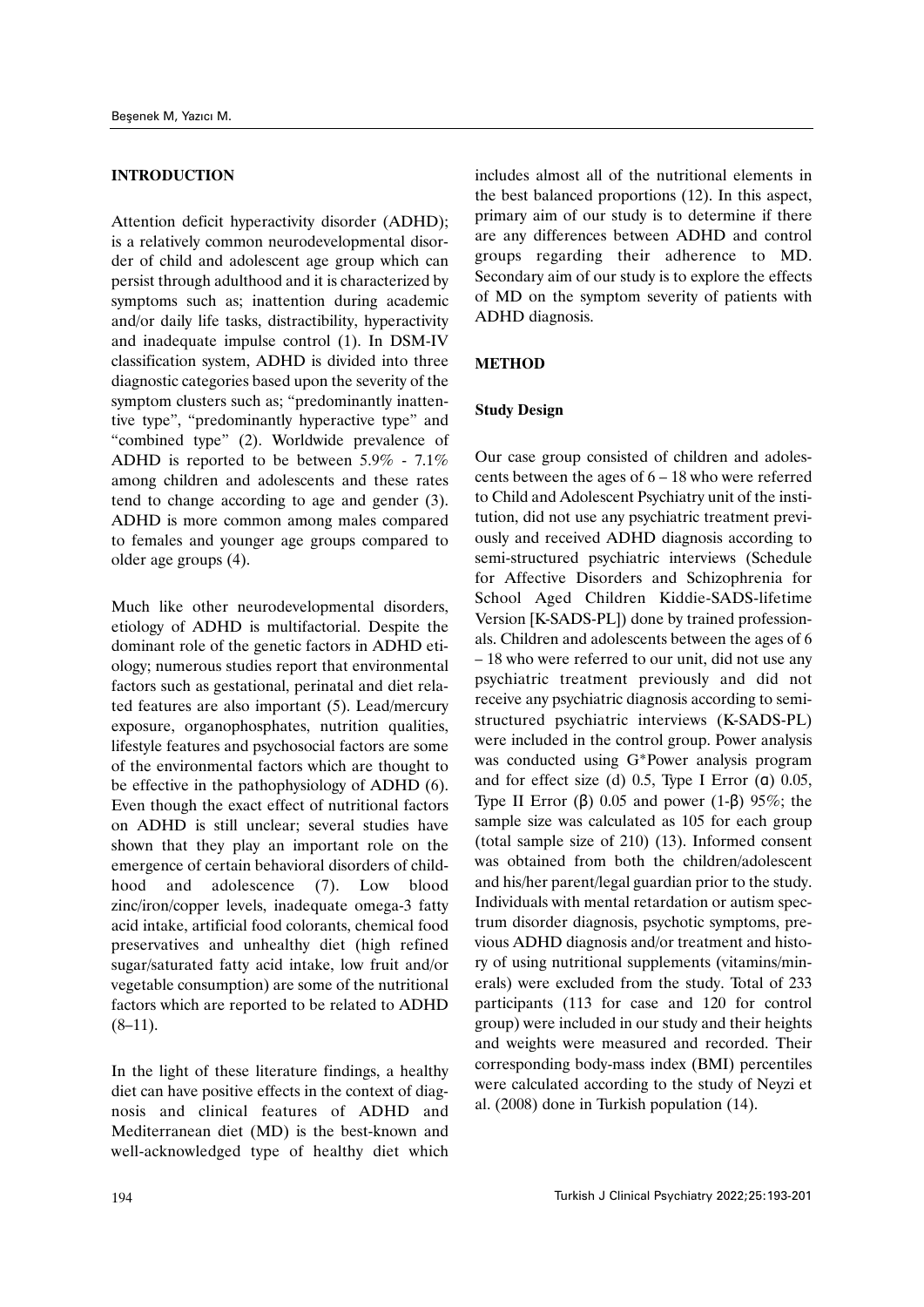## **INTRODUCTION**

Attention deficit hyperactivity disorder (ADHD); is a relatively common neurodevelopmental disorder of child and adolescent age group which can persist through adulthood and it is characterized by symptoms such as; inattention during academic and/or daily life tasks, distractibility, hyperactivity and inadequate impulse control (1). In DSM-IV classification system, ADHD is divided into three diagnostic categories based upon the severity of the symptom clusters such as; "predominantly inattentive type", "predominantly hyperactive type" and "combined type" (2). Worldwide prevalence of ADHD is reported to be between 5.9% - 7.1% among children and adolescents and these rates tend to change according to age and gender (3). ADHD is more common among males compared to females and younger age groups compared to older age groups (4).

Much like other neurodevelopmental disorders, etiology of ADHD is multifactorial. Despite the dominant role of the genetic factors in ADHD etiology; numerous studies report that environmental factors such as gestational, perinatal and diet related features are also important (5). Lead/mercury exposure, organophosphates, nutrition qualities, lifestyle features and psychosocial factors are some of the environmental factors which are thought to be effective in the pathophysiology of ADHD (6). Even though the exact effect of nutritional factors on ADHD is still unclear; several studies have shown that they play an important role on the emergence of certain behavioral disorders of childhood and adolescence (7). Low blood zinc/iron/copper levels, inadequate omega-3 fatty acid intake, artificial food colorants, chemical food preservatives and unhealthy diet (high refined sugar/saturated fatty acid intake, low fruit and/or vegetable consumption) are some of the nutritional factors which are reported to be related to ADHD  $(8-11)$ .

In the light of these literature findings, a healthy diet can have positive effects in the context of diagnosis and clinical features of ADHD and Mediterranean diet (MD) is the best-known and well-acknowledged type of healthy diet which includes almost all of the nutritional elements in the best balanced proportions (12). In this aspect, primary aim of our study is to determine if there are any differences between ADHD and control groups regarding their adherence to MD. Secondary aim of our study is to explore the effects of MD on the symptom severity of patients with ADHD diagnosis.

## **METHOD**

## **Study Design**

Our case group consisted of children and adolescents between the ages of 6 – 18 who were referred to Child and Adolescent Psychiatry unit of the institution, did not use any psychiatric treatment previously and received ADHD diagnosis according to semi-structured psychiatric interviews (Schedule for Affective Disorders and Schizophrenia for School Aged Children Kiddie-SADS-lifetime Version [K-SADS-PL]) done by trained professionals. Children and adolescents between the ages of 6 – 18 who were referred to our unit, did not use any psychiatric treatment previously and did not receive any psychiatric diagnosis according to semistructured psychiatric interviews (K-SADS-PL) were included in the control group. Power analysis was conducted using G\*Power analysis program and for effect size (d) 0.5, Type I Error (α) 0.05, Type II Error (β) 0.05 and power (1-β) 95%; the sample size was calculated as 105 for each group (total sample size of 210) (13). Informed consent was obtained from both the children/adolescent and his/her parent/legal guardian prior to the study. Individuals with mental retardation or autism spectrum disorder diagnosis, psychotic symptoms, previous ADHD diagnosis and/or treatment and history of using nutritional supplements (vitamins/minerals) were excluded from the study. Total of 233 participants (113 for case and 120 for control group) were included in our study and their heights and weights were measured and recorded. Their corresponding body-mass index (BMI) percentiles were calculated according to the study of Neyzi et al. (2008) done in Turkish population (14).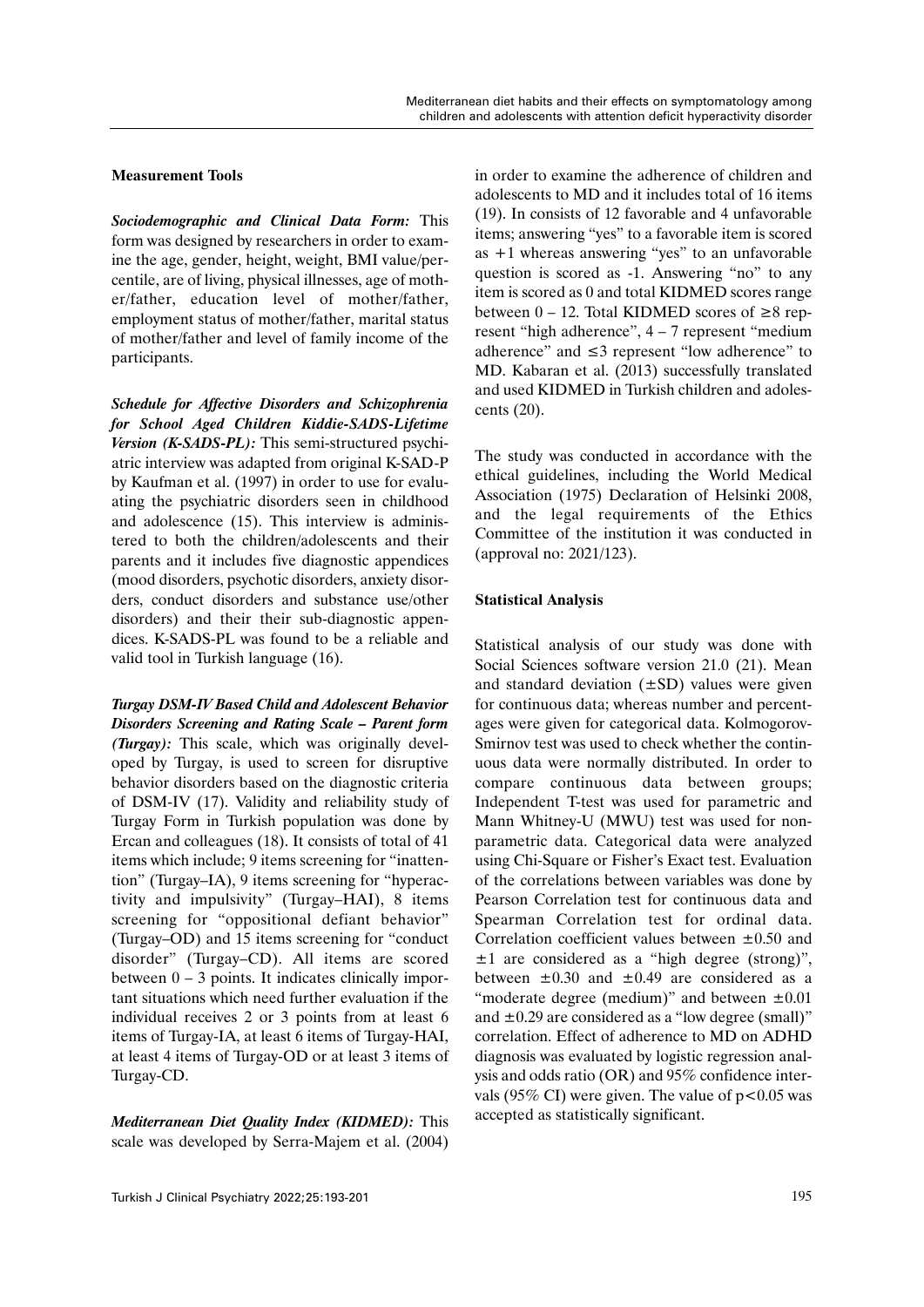## **Measurement Tools**

*Sociodemographic and Clinical Data Form:* This form was designed by researchers in order to examine the age, gender, height, weight, BMI value/percentile, are of living, physical illnesses, age of mother/father, education level of mother/father, employment status of mother/father, marital status of mother/father and level of family income of the participants.

*Schedule for Affective Disorders and Schizophrenia for School Aged Children Kiddie-SADS-Lifetime Version (K-SADS-PL):* This semi-structured psychiatric interview was adapted from original K-SAD-P by Kaufman et al. (1997) in order to use for evaluating the psychiatric disorders seen in childhood and adolescence (15). This interview is administered to both the children/adolescents and their parents and it includes five diagnostic appendices (mood disorders, psychotic disorders, anxiety disorders, conduct disorders and substance use/other disorders) and their their sub-diagnostic appendices. K-SADS-PL was found to be a reliable and valid tool in Turkish language (16).

*Turgay DSM-IV Based Child and Adolescent Behavior Disorders Screening and Rating Scale – Parent form (Turgay):* This scale, which was originally developed by Turgay, is used to screen for disruptive behavior disorders based on the diagnostic criteria of DSM-IV (17). Validity and reliability study of Turgay Form in Turkish population was done by Ercan and colleagues (18). It consists of total of 41 items which include; 9 items screening for "inattention" (Turgay–IA), 9 items screening for "hyperactivity and impulsivity" (Turgay–HAI), 8 items screening for "oppositional defiant behavior" (Turgay–OD) and 15 items screening for "conduct disorder" (Turgay–CD). All items are scored between  $0 - 3$  points. It indicates clinically important situations which need further evaluation if the individual receives 2 or 3 points from at least 6 items of Turgay-IA, at least 6 items of Turgay-HAI, at least 4 items of Turgay-OD or at least 3 items of Turgay-CD.

*Mediterranean Diet Quality Index (KIDMED):* This scale was developed by Serra-Majem et al. (2004) in order to examine the adherence of children and adolescents to MD and it includes total of 16 items (19). In consists of 12 favorable and 4 unfavorable items; answering "yes" to a favorable item is scored as +1 whereas answering "yes" to an unfavorable question is scored as -1. Answering "no" to any item is scored as 0 and total KIDMED scores range between  $0 - 12$ . Total KIDMED scores of  $\geq 8$  represent "high adherence", 4 – 7 represent "medium adherence" and ≤3 represent "low adherence" to MD. Kabaran et al. (2013) successfully translated and used KIDMED in Turkish children and adolescents (20).

The study was conducted in accordance with the ethical guidelines, including the World Medical Association (1975) Declaration of Helsinki 2008, and the legal requirements of the Ethics Committee of the institution it was conducted in (approval no: 2021/123).

## **Statistical Analysis**

Statistical analysis of our study was done with Social Sciences software version 21.0 (21). Mean and standard deviation  $(\pm SD)$  values were given for continuous data; whereas number and percentages were given for categorical data. Kolmogorov-Smirnov test was used to check whether the continuous data were normally distributed. In order to compare continuous data between groups; Independent T-test was used for parametric and Mann Whitney-U (MWU) test was used for nonparametric data. Categorical data were analyzed using Chi-Square or Fisher's Exact test. Evaluation of the correlations between variables was done by Pearson Correlation test for continuous data and Spearman Correlation test for ordinal data. Correlation coefficient values between  $\pm 0.50$  and  $\pm 1$  are considered as a "high degree (strong)", between  $\pm 0.30$  and  $\pm 0.49$  are considered as a "moderate degree (medium)" and between  $\pm 0.01$ and  $\pm 0.29$  are considered as a "low degree (small)" correlation. Effect of adherence to MD on ADHD diagnosis was evaluated by logistic regression analysis and odds ratio (OR) and 95% confidence intervals (95% CI) were given. The value of  $p<0.05$  was accepted as statistically significant.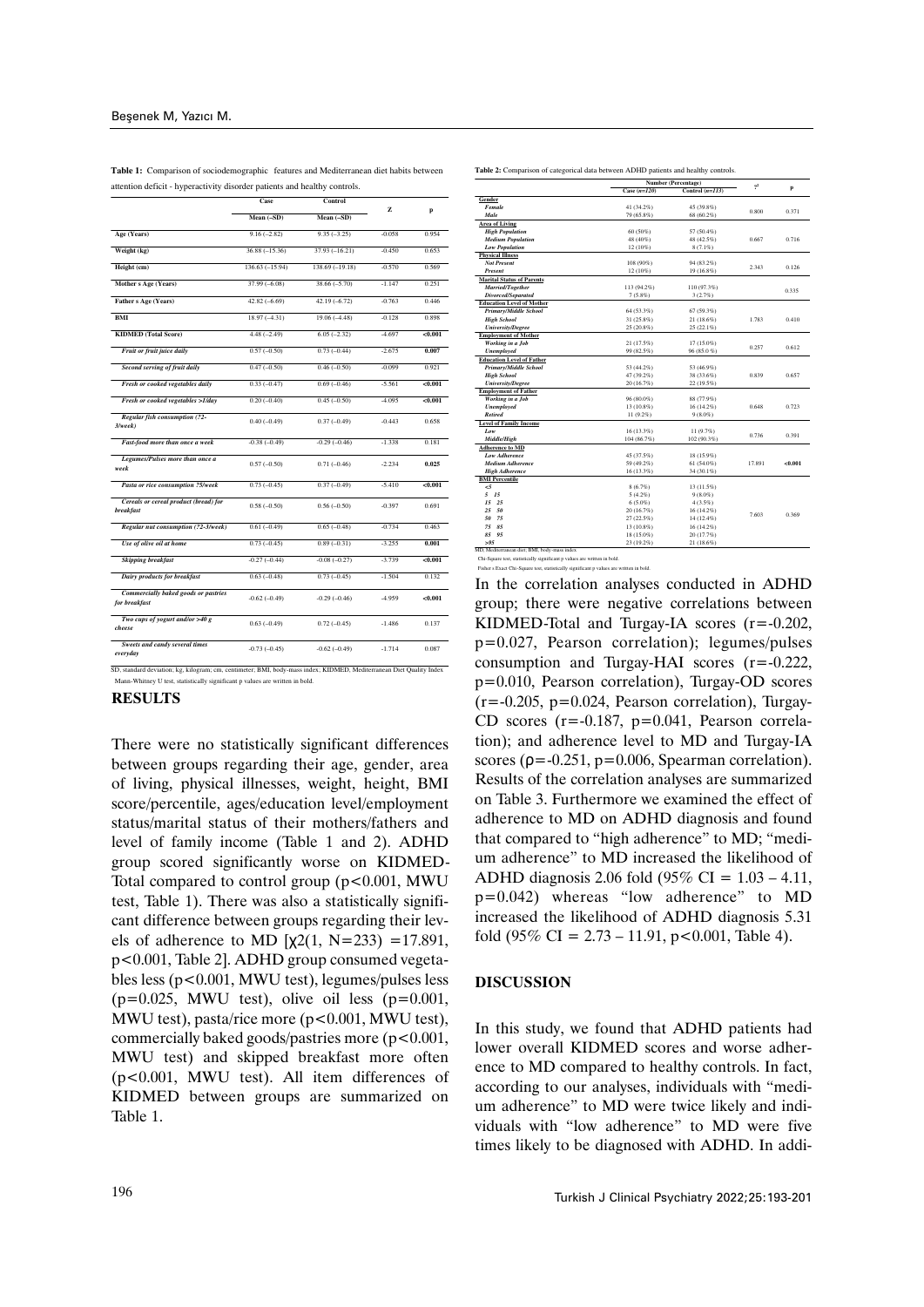**Table 1:** Comparison of sociodemographic features and Mediterranean diet habits between attention deficit - hyperactivity disorder patients and healthy controls.

|                                                              | Case             | Control          | z        |         |
|--------------------------------------------------------------|------------------|------------------|----------|---------|
|                                                              | Mean (-SD)       | Mean (-SD)       |          | p       |
| Age (Years)                                                  | $9.16(-2.82)$    | $9.35(-3.25)$    | $-0.058$ | 0.954   |
| Weight (kg)                                                  | $36.88(-15.36)$  | $37.93(-16.21)$  | $-0.450$ | 0.653   |
| Height (cm)                                                  | $136.63(-15.94)$ | $138.69(-19.18)$ | $-0.570$ | 0.569   |
| Mother s Age (Years)                                         | $37.99(-6.08)$   | $38.66(-5.70)$   | $-1.147$ | 0.251   |
| Father s Age (Years)                                         | $42.82(-6.69)$   | $42.19(-6.72)$   | $-0.763$ | 0.446   |
| <b>BMI</b>                                                   | $18.97(-4.31)$   | $19.06(-4.48)$   | $-0.128$ | 0.898   |
| <b>KIDMED</b> (Total Score)                                  | $4.48(-2.49)$    | $6.05 (-2.32)$   | $-4.697$ | < 0.001 |
| Fruit or fruit juice daily                                   | $0.57(-0.50)$    | $0.73(-0.44)$    | $-2.675$ | 0.007   |
| Second serving of fruit daily                                | $0.47(-0.50)$    | $0.46(-0.50)$    | $-0.099$ | 0.921   |
| Fresh or cooked vegetables daily                             | $0.33(-0.47)$    | $0.69(-0.46)$    | $-5.561$ | <0.001  |
| Fresh or cooked vegetables >1/day                            | $0.20(-0.40)$    | $0.45(-0.50)$    | -4.095   | 0.001   |
| Regular fish consumption (?2-<br>$3$ /wee $k$ )              | $0.40(-0.49)$    | $0.37(-0.49)$    | $-0.443$ | 0.658   |
| Fast-food more than once a week                              | $-0.38(-0.49)$   | $-0.29(-0.46)$   | $-1.338$ | 0.181   |
| Legumes/Pulses more than once a<br>week                      | $0.57(-0.50)$    | $0.71(-0.46)$    | $-2.234$ | 0.025   |
| Pasta or rice consumption ?5/week                            | $0.73(-0.45)$    | $0.37(-0.49)$    | $-5.410$ | < 0.001 |
| Cereals or cereal product (bread) for<br><b>breakfast</b>    | $0.58(-0.50)$    | $0.56(-0.50)$    | $-0.397$ | 0.691   |
| Regular nut consumption (?2-3/week)                          | $0.61(-0.49)$    | $0.65(-0.48)$    | $-0.734$ | 0.463   |
| Use of olive oil at home                                     | $0.73(-0.45)$    | $0.89(-0.31)$    | $-3.255$ | 0.001   |
| <b>Skipping breakfast</b>                                    | $-0.27(-0.44)$   | $-0.08(-0.27)$   | $-3.739$ | < 0.001 |
| Dairy products for breakfast                                 | $0.63(-0.48)$    | $0.73(-0.45)$    | $-1.504$ | 0.132   |
| <b>Commercially baked goods or pastries</b><br>for breakfast | $-0.62(-0.49)$   | $-0.29(-0.46)$   | -4959    | 0.001   |
| Two cups of yogurt and/or $>40 g$<br>cheese                  | $0.63(-0.49)$    | $0.72(-0.45)$    | $-1.486$ | 0.137   |
| Sweets and candy several times<br>everyday                   | $-0.73(-0.45)$   | $-0.62(-0.49)$   | $-1.714$ | 0.087   |

d deviation; kg, kilogram; cm, centimeter; BMI, body Mann-Whitney U test, statistically significant p values are written in bold.

#### **RESULTS**

There were no statistically significant differences between groups regarding their age, gender, area of living, physical illnesses, weight, height, BMI score/percentile, ages/education level/employment status/marital status of their mothers/fathers and level of family income (Table 1 and 2). ADHD group scored significantly worse on KIDMED-Total compared to control group  $(p<0.001, MWU)$ test, Table 1). There was also a statistically significant difference between groups regarding their levels of adherence to MD  $[\chi2(1, N=233) = 17.891]$ , p<0.001, Table 2]. ADHD group consumed vegetables less (p<0.001, MWU test), legumes/pulses less  $(p=0.025, \text{ MWU test})$ , olive oil less  $(p=0.001, \text{ MWU test})$ MWU test), pasta/rice more  $(p<0.001$ , MWU test), commercially baked goods/pastries more  $(p<0.001,$ MWU test) and skipped breakfast more often (p<0.001, MWU test). All item differences of KIDMED between groups are summarized on Table 1.

|                                  | Case $(n=120)$ | Control $(n=113)$ | $2^2$ | p     |
|----------------------------------|----------------|-------------------|-------|-------|
| Gender                           |                |                   |       |       |
| Female                           | 41 (34.2%)     | 45 (39.8%)        | 0.800 | 0.371 |
| Male                             | 79 (65.8%)     | 68 (60.2%)        |       |       |
| <b>Area of Living</b>            |                |                   |       |       |
| <b>High Population</b>           | 60 (50%)       | 57 (50.4%)        |       |       |
| <b>Medium Population</b>         | 48 (40%)       | 48 (42.5%)        | 0.667 | 0.716 |
| <b>Low Population</b>            | 12 (10%)       | 8 (7.1%)          |       |       |
| <b>Physical Illness</b>          |                |                   |       |       |
| <b>Not Present</b>               | 108 (90%)      | 94 (83.2%)        | 2.343 | 0.126 |
| <b>Present</b>                   | 12 (10%)       | 19 (16.8%)        |       |       |
| <b>Marital Status of Parents</b> |                |                   |       |       |
| Married/Together                 | 113 (94.2%)    | 110 (97.3%)       |       |       |
| Divorced/Separated               | $7(5.8\%)$     | 3(2.7%)           |       | 0.335 |
| <b>Education Level of Mother</b> |                |                   |       |       |
| <b>Primary/Middle School</b>     | 64 (53.3%)     | $67(59.3\%)$      |       |       |

**Number (Percentage)** 

Table 2: Comparison of categorical data between ADHD patients and healthy co

| <b>Divorced/Separated</b>        | $7(5.8\%)$   | 3(2.7%)      |        | u.,,,,  |
|----------------------------------|--------------|--------------|--------|---------|
| <b>Education Level of Mother</b> |              |              |        |         |
| <b>Primary/Middle School</b>     | 64 (53.3%)   | $67(59.3\%)$ |        |         |
| <b>High School</b>               | 31 (25.8%)   | 21 (18.6%)   | 1.783  | 0.410   |
| <b>University/Degree</b>         | 25 (20.8%)   | $25(22.1\%)$ |        |         |
| <b>Employment of Mother</b>      |              |              |        |         |
| Working in a Job                 | 21 (17.5%)   | 17 (15.0%)   | 0.257  | 0.612   |
| <b>Unemployed</b>                | 99 (82.5%)   | 96 (85.0 %)  |        |         |
| <b>Education Level of Father</b> |              |              |        |         |
| Primary/Middle School            | 53 (44.2%)   | 53 (46.9%)   |        | 0.657   |
| <b>High School</b>               | 47 (39.2%)   | 38 (33.6%)   | 0.839  |         |
| <b>University/Degree</b>         | 20 (16.7%)   | 22 (19.5%)   |        |         |
| <b>Employment of Father</b>      |              |              |        |         |
| Working in a Job                 | 96 (80.0%)   | 88 (77.9%)   |        |         |
| <b>Unemployed</b>                | 13 (10.8%)   | 16 (14.2%)   | 0.648  | 0.723   |
| <b>Retired</b>                   | 11 (9.2%)    | $9(8.0\%)$   |        |         |
| <b>Level of Family Income</b>    |              |              |        |         |
| Low                              | $16(13.3\%)$ | 11 (9.7%)    | 0.736  | 0.391   |
| Middle/High                      | 104 (86.7%)  | 102 (90.3%)  |        |         |
| <b>Adherence to MD</b>           |              |              |        |         |
| <b>Low Adherence</b>             | 45 (37.5%)   | 18 (15.9%)   |        |         |
| <b>Medium Adherence</b>          | 59 (49.2%)   | 61 (54.0%)   | 17.891 | < 0.001 |
| <b>High Adherence</b>            | 16 (13.3%)   | 34 (30.1%)   |        |         |
| <b>BMI</b> Percentile            |              |              |        |         |
| $\leq$                           | 8(6.7%)      | 13 (11.5%)   |        |         |
| 5<br>15                          | 5(4.2%)      | $9(8.0\%)$   |        |         |
| 15<br>25                         | $6(5.0\%)$   | $4(3.5\%)$   |        |         |
| 25<br>50                         | 20 (16.7%)   | 16 (14.2%)   | 7.603  | 0.369   |
| 50<br>75                         | 27(22.5%)    | 14 (12.4%)   |        |         |
| 75<br>85                         | 13 (10.8%)   | 16 (14.2%)   |        |         |
| 85<br>95                         | 18 (15.0%)   | 20 (17.7%)   |        |         |
| > 95                             | 23 (19.2%)   | 21 (18.6%)   |        |         |

MD, Mediterranean diet; BMI, body-mass index Chi-Square test, statistically significant p values are written in bold. Fisher s Exact Chi-Square test, statistically significant p values are written in bold.

In the correlation analyses conducted in ADHD group; there were negative correlations between KIDMED-Total and Turgay-IA scores (r=-0.202, p=0.027, Pearson correlation); legumes/pulses consumption and Turgay-HAI scores (r=-0.222, p=0.010, Pearson correlation), Turgay-OD scores  $(r=-0.205, p=0.024, Pearson correlation)$ , Turgay-CD scores  $(r = -0.187, p = 0.041,$  Pearson correlation); and adherence level to MD and Turgay-IA scores ( $\rho = -0.251$ ,  $p = 0.006$ , Spearman correlation). Results of the correlation analyses are summarized on Table 3. Furthermore we examined the effect of adherence to MD on ADHD diagnosis and found that compared to "high adherence" to MD; "medium adherence" to MD increased the likelihood of ADHD diagnosis 2.06 fold (95% CI = 1.03 – 4.11, p=0.042) whereas "low adherence" to MD increased the likelihood of ADHD diagnosis 5.31 fold  $(95\% \text{ CI} = 2.73 - 11.91, \text{ p} < 0.001, \text{ Table 4}).$ 

## **DISCUSSION**

In this study, we found that ADHD patients had lower overall KIDMED scores and worse adherence to MD compared to healthy controls. In fact, according to our analyses, individuals with "medium adherence" to MD were twice likely and individuals with "low adherence" to MD were five times likely to be diagnosed with ADHD. In addi-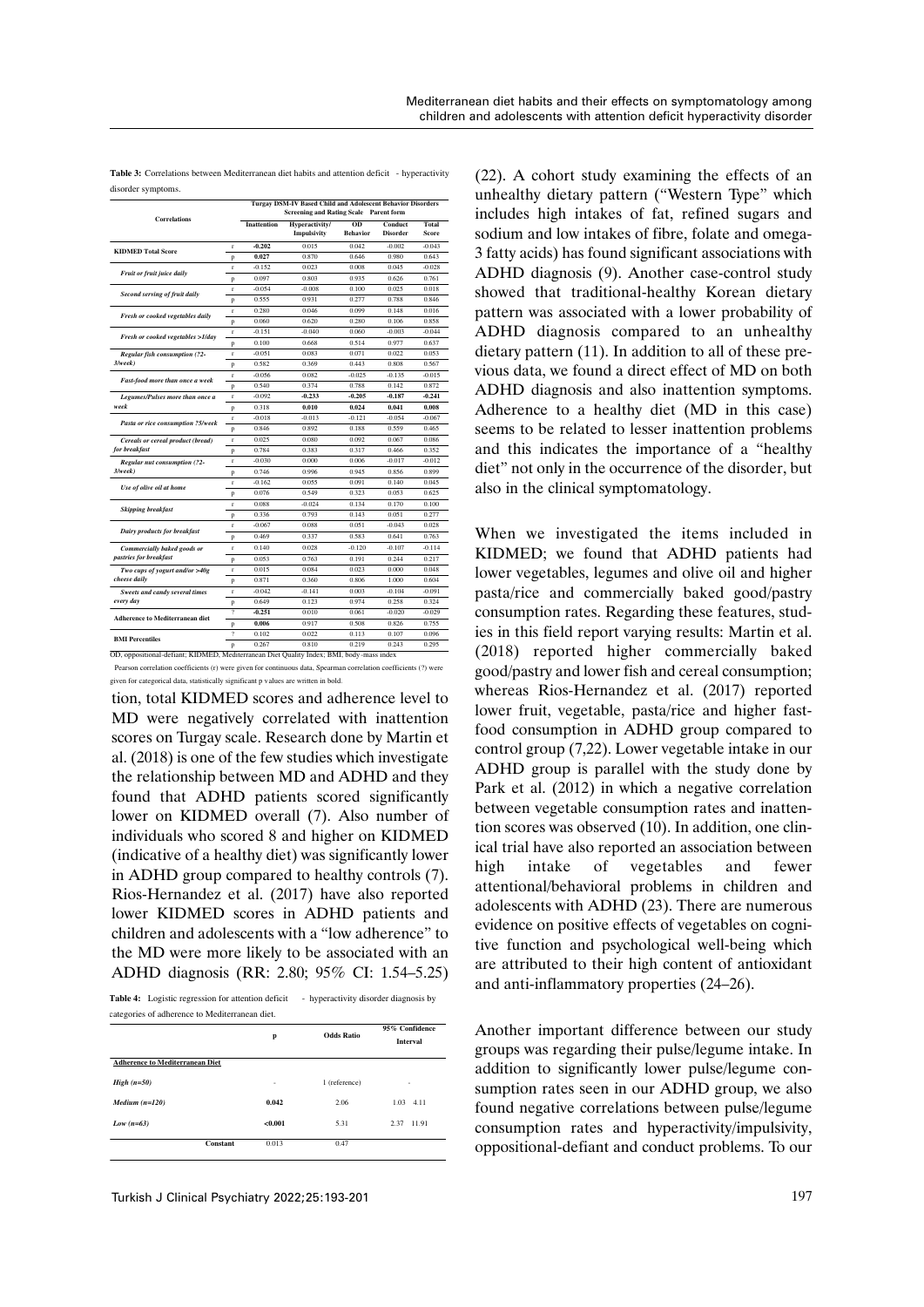| Table 3: Correlations between Mediterranean diet habits and attention deficit - hyperactivity |  |
|-----------------------------------------------------------------------------------------------|--|
| disorder symptoms.                                                                            |  |

|                                        |                | Turgay DSM-IV Based Child and Adolescent Behavior Disorders<br><b>Screening and Rating Scale Parent form</b> |                               |                       |                            |                |
|----------------------------------------|----------------|--------------------------------------------------------------------------------------------------------------|-------------------------------|-----------------------|----------------------------|----------------|
| <b>Correlations</b>                    |                | <b>Inattention</b>                                                                                           | Hyperactivity/<br>Impulsivity | OD<br><b>Behavior</b> | Conduct<br><b>Disorder</b> | Total<br>Score |
|                                        | r              | $-0.202$                                                                                                     | 0.015                         | 0.042                 | $-0.002$                   | $-0.043$       |
| <b>KIDMED Total Score</b>              |                | 0.027                                                                                                        | 0.870                         | 0.646                 | 0.980                      | 0.643          |
| Fruit or fruit juice daily             | p<br>r         | $-0.152$                                                                                                     | 0.023                         | 0.008                 | 0.045                      | $-0.028$       |
|                                        | p              | 0.097                                                                                                        | 0.803                         | 0.935                 | 0.626                      | 0.761          |
|                                        | r              | $-0.054$                                                                                                     | $-0.008$                      | 0.100                 | 0.025                      | 0.018          |
| Second serving of fruit daily          | p              | 0.555                                                                                                        | 0.931                         | 0.277                 | 0.788                      | 0.846          |
|                                        | r              | 0.280                                                                                                        | 0.046                         | 0.099                 | 0.148                      | 0.016          |
| Fresh or cooked vegetables daily       | p              | 0.060                                                                                                        | 0.620                         | 0.280                 | 0.106                      | 0.858          |
|                                        | $\mathbf{r}$   | $-0.151$                                                                                                     | $-0.040$                      | 0.060                 | $-0.003$                   | $-0.044$       |
| Fresh or cooked vegetables >1/day      | p              | 0.100                                                                                                        | 0.668                         | 0.514                 | 0.977                      | 0.637          |
| <b>Regular fish consumption (?2-</b>   | r              | $-0.051$                                                                                                     | 0.083                         | 0.071                 | 0.022                      | 0.053          |
| 3/week                                 | p              | 0.582                                                                                                        | 0.369                         | 0.443                 | 0.808                      | 0.567          |
|                                        | r              | $-0.056$                                                                                                     | 0.082                         | $-0.025$              | $-0.135$                   | $-0.015$       |
| Fast-food more than once a week        | p              | 0.540                                                                                                        | 0.374                         | 0.788                 | 0.142                      | 0.872          |
| Legumes/Pulses more than once a        | r              | $-0.092$                                                                                                     | $-0.233$                      | $-0.205$              | $-0.187$                   | $-0.241$       |
| week                                   | p              | 0.318                                                                                                        | 0.010                         | 0.024                 | 0.041                      | 0.008          |
|                                        | r              | $-0.018$                                                                                                     | $-0.013$                      | $-0.121$              | $-0.054$                   | $-0.067$       |
| Pasta or rice consumption ?5/week      | p              | 0.846                                                                                                        | 0.892                         | 0.188                 | 0.559                      | 0.465          |
| Cereals or cereal product (bread)      | r              | 0.025                                                                                                        | 0.080                         | 0.092                 | 0.067                      | 0.086          |
| for breakfast                          | p              | 0.784                                                                                                        | 0.383                         | 0.317                 | 0.466                      | 0.352          |
| Regular nut consumption (?2-           | r              | $-0.030$                                                                                                     | 0.000                         | 0.006                 | $-0.017$                   | $-0.012$       |
| $3$ /wee $k$ )                         | p              | 0.746                                                                                                        | 0.996                         | 0.945                 | 0.856                      | 0.899          |
|                                        | r              | $-0.162$                                                                                                     | 0.055                         | 0.091                 | 0.140                      | 0.045          |
| Use of olive oil at home               | p              | 0.076                                                                                                        | 0.549                         | 0.323                 | 0.053                      | 0.625          |
|                                        | r              | 0.088                                                                                                        | $-0.024$                      | 0.134                 | 0.170                      | 0.100          |
| <b>Skipping breakfast</b>              | p              | 0.336                                                                                                        | 0.793                         | 0.143                 | 0.051                      | 0.277          |
|                                        | r              | $-0.067$                                                                                                     | 0.088                         | 0.051                 | $-0.043$                   | 0.028          |
| Dairy products for breakfast           | p              | 0.469                                                                                                        | 0.337                         | 0.583                 | 0.641                      | 0.763          |
| Commercially baked goods or            | r              | 0.140                                                                                                        | 0.028                         | $-0.120$              | $-0.107$                   | $-0.114$       |
| pastries for breakfast                 | p              | 0.053                                                                                                        | 0.763                         | 0.191                 | 0.244                      | 0.217          |
| Two cups of yogurt and/or >40g         | r              | 0.015                                                                                                        | 0.084                         | 0.023                 | 0.000                      | 0.048          |
| cheese daily                           | p              | 0.871                                                                                                        | 0.360                         | 0.806                 | 1.000                      | 0.604          |
| Sweets and candy several times         | r              | $-0.042$                                                                                                     | $-0.141$                      | 0.003                 | $-0.104$                   | $-0.091$       |
| every day                              | p              | 0.649                                                                                                        | 0.123                         | 0.974                 | 0.258                      | 0.324          |
|                                        | $\overline{?}$ | $-0.251$                                                                                                     | 0.010                         | 0.061                 | $-0.020$                   | $-0.029$       |
| <b>Adherence to Mediterranean diet</b> | p              | 0.006                                                                                                        | 0.917                         | 0.508                 | 0.826                      | 0.755          |
|                                        | 9              | 0.102                                                                                                        | 0.022                         | 0.113                 | 0.107                      | 0.096          |
| <b>BMI</b> Percentiles                 | p              | 0.267                                                                                                        | 0.810                         | 0.219                 | 0.243                      | 0.295          |

 Pearson correlation coefficients (r) were given for continuous data, Spearman correlation coefficients (?) were given for categorical data, statistically significant p values are written in bold.

tion, total KIDMED scores and adherence level to MD were negatively correlated with inattention scores on Turgay scale. Research done by Martin et al. (2018) is one of the few studies which investigate the relationship between MD and ADHD and they found that ADHD patients scored significantly lower on KIDMED overall (7). Also number of individuals who scored 8 and higher on KIDMED (indicative of a healthy diet) was significantly lower in ADHD group compared to healthy controls (7). Rios-Hernandez et al. (2017) have also reported lower KIDMED scores in ADHD patients and children and adolescents with a "low adherence" to the MD were more likely to be associated with an ADHD diagnosis (RR: 2.80; 95% CI: 1.54–5.25)

**Table 4:** Logistic regression for attention deficit - hyperactivity disorder diagnosis by categories of adherence to Mediterranean diet.

|                                        | <b>Odds Ratio</b><br>p |               | 95% Confidence<br><b>Interval</b> |  |
|----------------------------------------|------------------------|---------------|-----------------------------------|--|
| <b>Adherence to Mediterranean Diet</b> |                        |               |                                   |  |
| $High (n=50)$                          | ۰                      | 1 (reference) | ٠                                 |  |
| $Median (n=120)$                       | 0.042                  | 2.06          | $1.03$ 4.11                       |  |
| Low $(n=63)$                           | < 0.001                | 5.31          | 2.37<br>11.91                     |  |
| Constant                               | 0.013                  | 0.47          |                                   |  |

(22). A cohort study examining the effects of an unhealthy dietary pattern ("Western Type" which includes high intakes of fat, refined sugars and sodium and low intakes of fibre, folate and omega-3 fatty acids) has found significant associations with ADHD diagnosis (9). Another case-control study showed that traditional-healthy Korean dietary pattern was associated with a lower probability of ADHD diagnosis compared to an unhealthy dietary pattern (11). In addition to all of these previous data, we found a direct effect of MD on both ADHD diagnosis and also inattention symptoms. Adherence to a healthy diet (MD in this case) seems to be related to lesser inattention problems and this indicates the importance of a "healthy diet" not only in the occurrence of the disorder, but also in the clinical symptomatology.

When we investigated the items included in KIDMED; we found that ADHD patients had lower vegetables, legumes and olive oil and higher pasta/rice and commercially baked good/pastry consumption rates. Regarding these features, studies in this field report varying results: Martin et al. (2018) reported higher commercially baked good/pastry and lower fish and cereal consumption; whereas Rios-Hernandez et al. (2017) reported lower fruit, vegetable, pasta/rice and higher fastfood consumption in ADHD group compared to control group (7,22). Lower vegetable intake in our ADHD group is parallel with the study done by Park et al. (2012) in which a negative correlation between vegetable consumption rates and inattention scores was observed (10). In addition, one clinical trial have also reported an association between high intake of vegetables and fewer attentional/behavioral problems in children and adolescents with ADHD (23). There are numerous evidence on positive effects of vegetables on cognitive function and psychological well-being which are attributed to their high content of antioxidant and anti-inflammatory properties (24–26).

Another important difference between our study groups was regarding their pulse/legume intake. In addition to significantly lower pulse/legume consumption rates seen in our ADHD group, we also found negative correlations between pulse/legume consumption rates and hyperactivity/impulsivity, oppositional-defiant and conduct problems. To our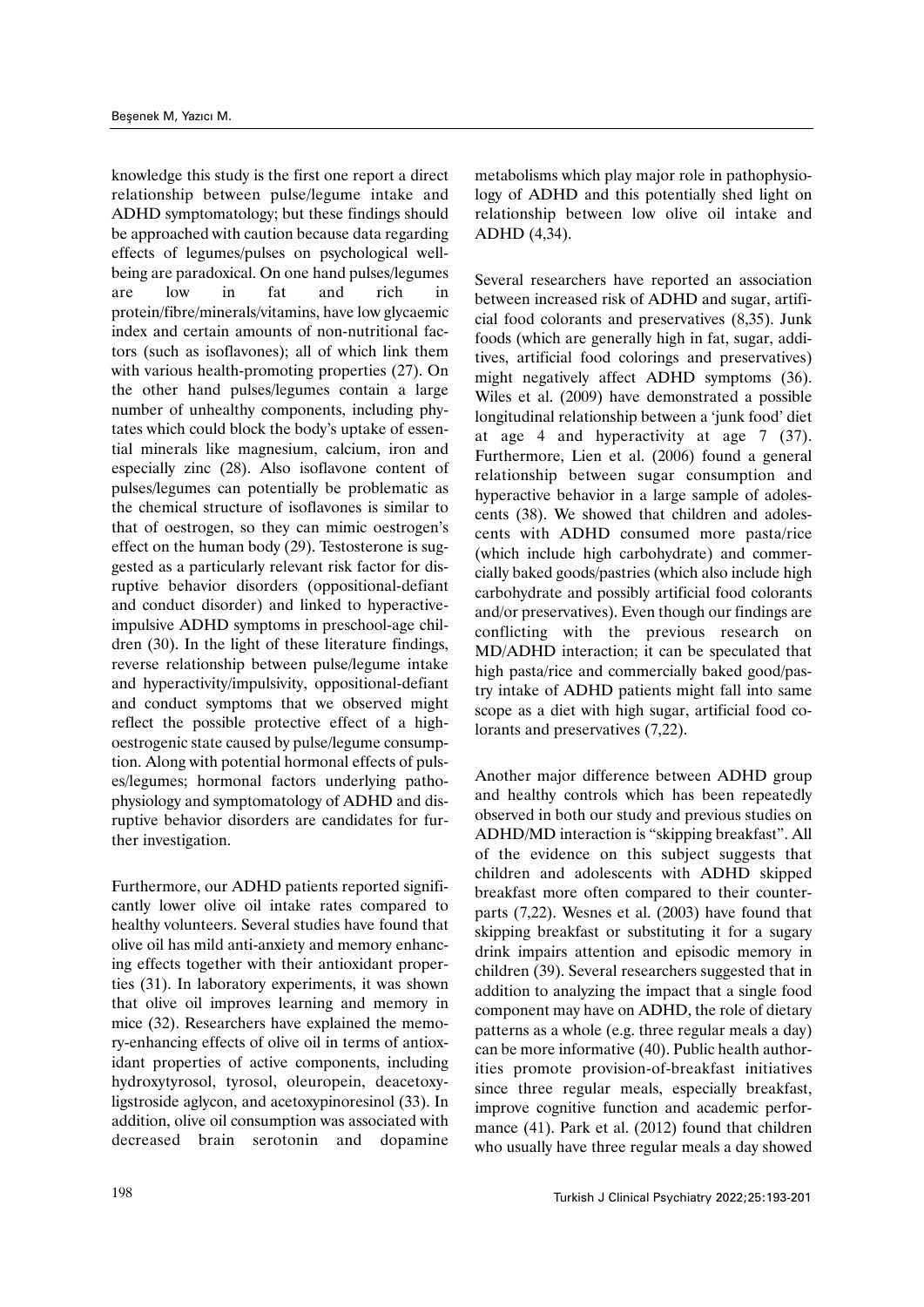knowledge this study is the first one report a direct relationship between pulse/legume intake and ADHD symptomatology; but these findings should be approached with caution because data regarding effects of legumes/pulses on psychological wellbeing are paradoxical. On one hand pulses/legumes are low in fat and rich in protein/fibre/minerals/vitamins, have low glycaemic index and certain amounts of non-nutritional factors (such as isoflavones); all of which link them with various health-promoting properties (27). On the other hand pulses/legumes contain a large number of unhealthy components, including phytates which could block the body's uptake of essential minerals like magnesium, calcium, iron and especially zinc (28). Also isoflavone content of pulses/legumes can potentially be problematic as the chemical structure of isoflavones is similar to that of oestrogen, so they can mimic oestrogen's effect on the human body (29). Testosterone is suggested as a particularly relevant risk factor for disruptive behavior disorders (oppositional-defiant and conduct disorder) and linked to hyperactiveimpulsive ADHD symptoms in preschool-age children (30). In the light of these literature findings, reverse relationship between pulse/legume intake and hyperactivity/impulsivity, oppositional-defiant and conduct symptoms that we observed might reflect the possible protective effect of a highoestrogenic state caused by pulse/legume consumption. Along with potential hormonal effects of pulses/legumes; hormonal factors underlying pathophysiology and symptomatology of ADHD and disruptive behavior disorders are candidates for further investigation.

Furthermore, our ADHD patients reported significantly lower olive oil intake rates compared to healthy volunteers. Several studies have found that olive oil has mild anti-anxiety and memory enhancing effects together with their antioxidant properties (31). In laboratory experiments, it was shown that olive oil improves learning and memory in mice (32). Researchers have explained the memory-enhancing effects of olive oil in terms of antioxidant properties of active components, including hydroxytyrosol, tyrosol, oleuropein, deacetoxyligstroside aglycon, and acetoxypinoresinol (33). In addition, olive oil consumption was associated with decreased brain serotonin and dopamine

metabolisms which play major role in pathophysiology of ADHD and this potentially shed light on relationship between low olive oil intake and ADHD (4,34).

Several researchers have reported an association between increased risk of ADHD and sugar, artificial food colorants and preservatives (8,35). Junk foods (which are generally high in fat, sugar, additives, artificial food colorings and preservatives) might negatively affect ADHD symptoms (36). Wiles et al. (2009) have demonstrated a possible longitudinal relationship between a 'junk food' diet at age 4 and hyperactivity at age 7 (37). Furthermore, Lien et al. (2006) found a general relationship between sugar consumption and hyperactive behavior in a large sample of adolescents (38). We showed that children and adolescents with ADHD consumed more pasta/rice (which include high carbohydrate) and commercially baked goods/pastries (which also include high carbohydrate and possibly artificial food colorants and/or preservatives). Even though our findings are conflicting with the previous research on MD/ADHD interaction; it can be speculated that high pasta/rice and commercially baked good/pastry intake of ADHD patients might fall into same scope as a diet with high sugar, artificial food colorants and preservatives (7,22).

Another major difference between ADHD group and healthy controls which has been repeatedly observed in both our study and previous studies on ADHD/MD interaction is "skipping breakfast". All of the evidence on this subject suggests that children and adolescents with ADHD skipped breakfast more often compared to their counterparts (7,22). Wesnes et al. (2003) have found that skipping breakfast or substituting it for a sugary drink impairs attention and episodic memory in children (39). Several researchers suggested that in addition to analyzing the impact that a single food component may have on ADHD, the role of dietary patterns as a whole (e.g. three regular meals a day) can be more informative (40). Public health authorities promote provision-of-breakfast initiatives since three regular meals, especially breakfast, improve cognitive function and academic performance (41). Park et al. (2012) found that children who usually have three regular meals a day showed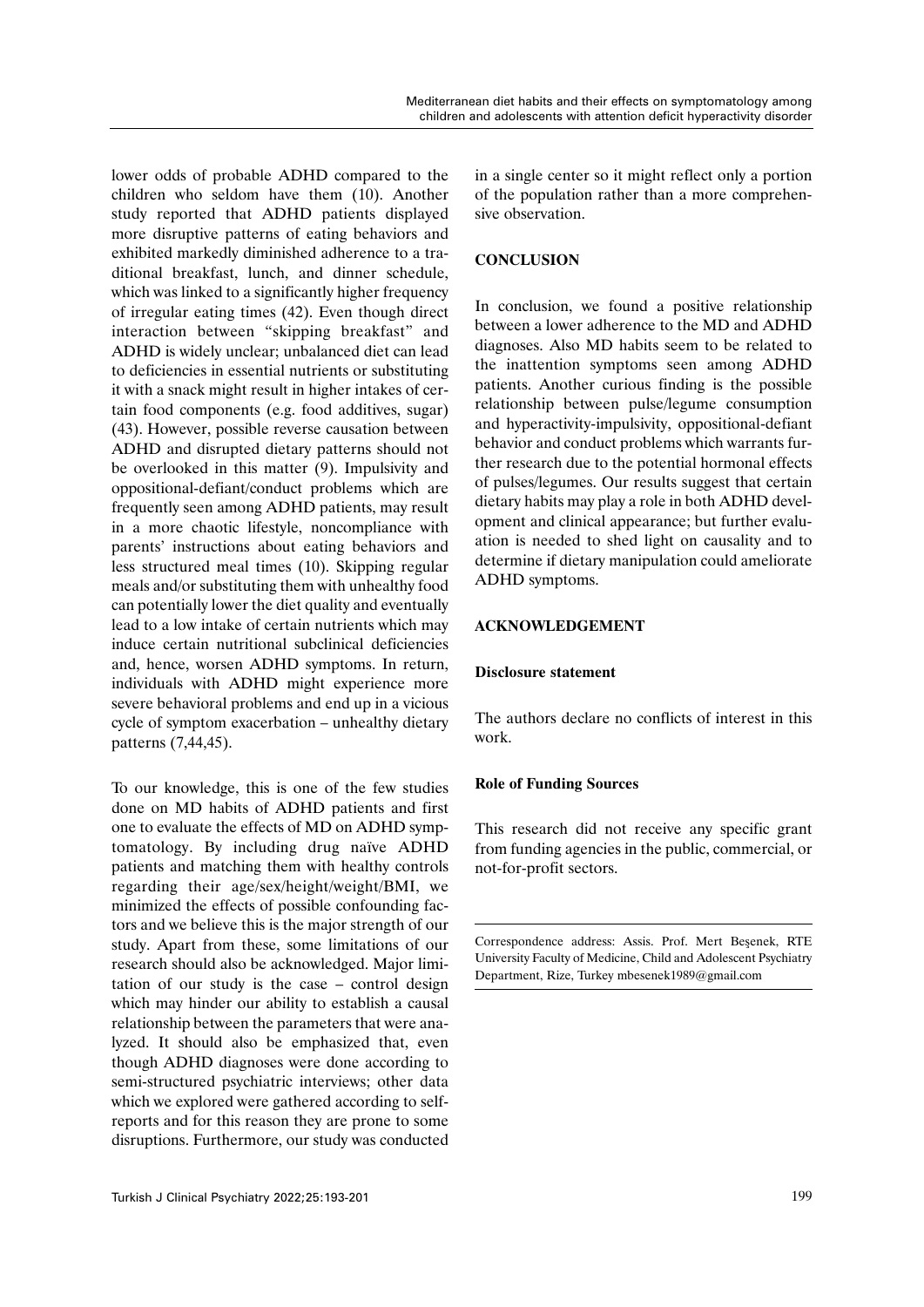lower odds of probable ADHD compared to the children who seldom have them (10). Another study reported that ADHD patients displayed more disruptive patterns of eating behaviors and exhibited markedly diminished adherence to a traditional breakfast, lunch, and dinner schedule, which was linked to a significantly higher frequency of irregular eating times (42). Even though direct interaction between "skipping breakfast" and ADHD is widely unclear; unbalanced diet can lead to deficiencies in essential nutrients or substituting it with a snack might result in higher intakes of certain food components (e.g. food additives, sugar) (43). However, possible reverse causation between ADHD and disrupted dietary patterns should not be overlooked in this matter (9). Impulsivity and oppositional-defiant/conduct problems which are frequently seen among ADHD patients, may result in a more chaotic lifestyle, noncompliance with parents' instructions about eating behaviors and less structured meal times (10). Skipping regular meals and/or substituting them with unhealthy food can potentially lower the diet quality and eventually lead to a low intake of certain nutrients which may induce certain nutritional subclinical deficiencies and, hence, worsen ADHD symptoms. In return, individuals with ADHD might experience more severe behavioral problems and end up in a vicious cycle of symptom exacerbation – unhealthy dietary patterns (7,44,45).

To our knowledge, this is one of the few studies done on MD habits of ADHD patients and first one to evaluate the effects of MD on ADHD symptomatology. By including drug naïve ADHD patients and matching them with healthy controls regarding their age/sex/height/weight/BMI, we minimized the effects of possible confounding factors and we believe this is the major strength of our study. Apart from these, some limitations of our research should also be acknowledged. Major limitation of our study is the case – control design which may hinder our ability to establish a causal relationship between the parameters that were analyzed. It should also be emphasized that, even though ADHD diagnoses were done according to semi-structured psychiatric interviews; other data which we explored were gathered according to selfreports and for this reason they are prone to some disruptions. Furthermore, our study was conducted in a single center so it might reflect only a portion of the population rather than a more comprehensive observation.

## **CONCLUSION**

In conclusion, we found a positive relationship between a lower adherence to the MD and ADHD diagnoses. Also MD habits seem to be related to the inattention symptoms seen among ADHD patients. Another curious finding is the possible relationship between pulse/legume consumption and hyperactivity-impulsivity, oppositional-defiant behavior and conduct problems which warrants further research due to the potential hormonal effects of pulses/legumes. Our results suggest that certain dietary habits may play a role in both ADHD development and clinical appearance; but further evaluation is needed to shed light on causality and to determine if dietary manipulation could ameliorate ADHD symptoms.

## **ACKNOWLEDGEMENT**

## **Disclosure statement**

The authors declare no conflicts of interest in this work.

## **Role of Funding Sources**

This research did not receive any specific grant from funding agencies in the public, commercial, or not-for-profit sectors.

Correspondence address: Assis. Prof. Mert Beşenek, RTE University Faculty of Medicine, Child and Adolescent Psychiatry Department, Rize, Turkey mbesenek1989@gmail.com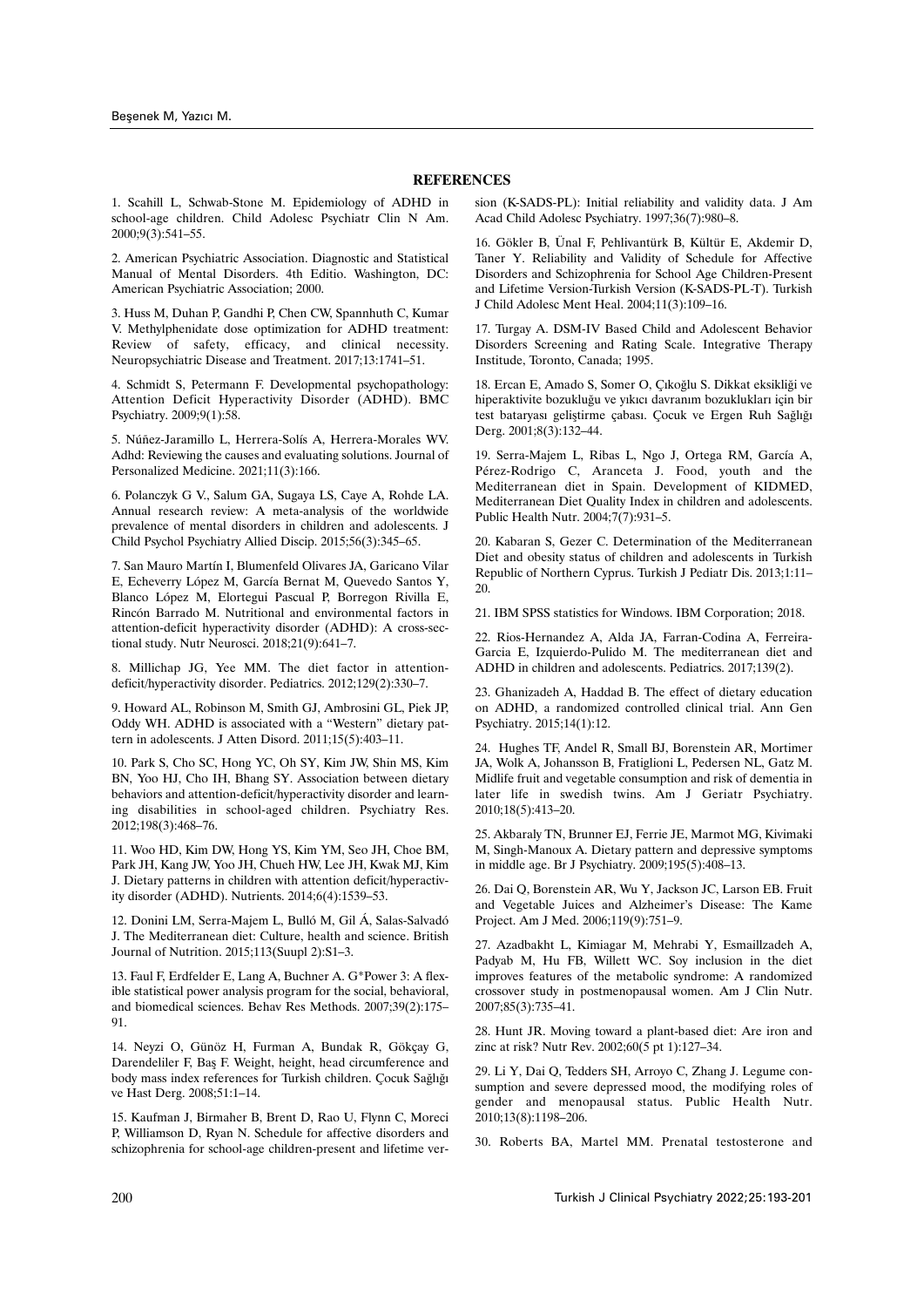#### **REFERENCES**

1. Scahill L, Schwab-Stone M. Epidemiology of ADHD in school-age children. Child Adolesc Psychiatr Clin N Am. 2000;9(3):541–55.

2. American Psychiatric Association. Diagnostic and Statistical Manual of Mental Disorders. 4th Editio. Washington, DC: American Psychiatric Association; 2000.

3. Huss M, Duhan P, Gandhi P, Chen CW, Spannhuth C, Kumar V. Methylphenidate dose optimization for ADHD treatment: Review of safety, efficacy, and clinical necessity. Neuropsychiatric Disease and Treatment. 2017;13:1741–51.

4. Schmidt S, Petermann F. Developmental psychopathology: Attention Deficit Hyperactivity Disorder (ADHD). BMC Psychiatry. 2009;9(1):58.

5. Núñez-Jaramillo L, Herrera-Solís A, Herrera-Morales WV. Adhd: Reviewing the causes and evaluating solutions. Journal of Personalized Medicine. 2021;11(3):166.

6. Polanczyk G V., Salum GA, Sugaya LS, Caye A, Rohde LA. Annual research review: A meta-analysis of the worldwide prevalence of mental disorders in children and adolescents. J Child Psychol Psychiatry Allied Discip. 2015;56(3):345–65.

7. San Mauro Martín I, Blumenfeld Olivares JA, Garicano Vilar E, Echeverry López M, García Bernat M, Quevedo Santos Y, Blanco López M, Elortegui Pascual P, Borregon Rivilla E, Rincón Barrado M. Nutritional and environmental factors in attention-deficit hyperactivity disorder (ADHD): A cross-sectional study. Nutr Neurosci. 2018;21(9):641–7.

8. Millichap JG, Yee MM. The diet factor in attentiondeficit/hyperactivity disorder. Pediatrics. 2012;129(2):330–7.

9. Howard AL, Robinson M, Smith GJ, Ambrosini GL, Piek JP, Oddy WH. ADHD is associated with a "Western" dietary pattern in adolescents. J Atten Disord. 2011;15(5):403–11.

10. Park S, Cho SC, Hong YC, Oh SY, Kim JW, Shin MS, Kim BN, Yoo HJ, Cho IH, Bhang SY. Association between dietary behaviors and attention-deficit/hyperactivity disorder and learning disabilities in school-aged children. Psychiatry Res. 2012;198(3):468–76.

11. Woo HD, Kim DW, Hong YS, Kim YM, Seo JH, Choe BM, Park JH, Kang JW, Yoo JH, Chueh HW, Lee JH, Kwak MJ, Kim J. Dietary patterns in children with attention deficit/hyperactivity disorder (ADHD). Nutrients. 2014;6(4):1539–53.

12. Donini LM, Serra-Majem L, Bulló M, Gil Á, Salas-Salvadó J. The Mediterranean diet: Culture, health and science. British Journal of Nutrition. 2015;113(Suupl 2):S1–3.

13. Faul F, Erdfelder E, Lang A, Buchner A. G\*Power 3: A flexible statistical power analysis program for the social, behavioral, and biomedical sciences. Behav Res Methods. 2007;39(2):175– 91.

14. Neyzi O, Günöz H, Furman A, Bundak R, Gökçay G, Darendeliler F, Baş F. Weight, height, head circumference and body mass index references for Turkish children. Çocuk Sağlığı ve Hast Derg. 2008;51:1–14.

15. Kaufman J, Birmaher B, Brent D, Rao U, Flynn C, Moreci P, Williamson D, Ryan N. Schedule for affective disorders and schizophrenia for school-age children-present and lifetime version (K-SADS-PL): Initial reliability and validity data. J Am Acad Child Adolesc Psychiatry. 1997;36(7):980–8.

16. Gökler B, Ünal F, Pehlivantürk B, Kültür E, Akdemir D, Taner Y. Reliability and Validity of Schedule for Affective Disorders and Schizophrenia for School Age Children-Present and Lifetime Version-Turkish Version (K-SADS-PL-T). Turkish J Child Adolesc Ment Heal. 2004;11(3):109–16.

17. Turgay A. DSM-IV Based Child and Adolescent Behavior Disorders Screening and Rating Scale. Integrative Therapy Institude, Toronto, Canada; 1995.

18. Ercan E, Amado S, Somer O, Çıkoğlu S. Dikkat eksikliği ve hiperaktivite bozukluğu ve yıkıcı davranım bozuklukları için bir test bataryası geliştirme çabası. Çocuk ve Ergen Ruh Sağlığı Derg. 2001;8(3):132–44.

19. Serra-Majem L, Ribas L, Ngo J, Ortega RM, García A, Pérez-Rodrigo C, Aranceta J. Food, youth and the Mediterranean diet in Spain. Development of KIDMED, Mediterranean Diet Quality Index in children and adolescents. Public Health Nutr. 2004;7(7):931–5.

20. Kabaran S, Gezer C. Determination of the Mediterranean Diet and obesity status of children and adolescents in Turkish Republic of Northern Cyprus. Turkish J Pediatr Dis. 2013;1:11– 20.

21. IBM SPSS statistics for Windows. IBM Corporation; 2018.

22. Rios-Hernandez A, Alda JA, Farran-Codina A, Ferreira-Garcia E, Izquierdo-Pulido M. The mediterranean diet and ADHD in children and adolescents. Pediatrics. 2017;139(2).

23. Ghanizadeh A, Haddad B. The effect of dietary education on ADHD, a randomized controlled clinical trial. Ann Gen Psychiatry. 2015;14(1):12.

24. Hughes TF, Andel R, Small BJ, Borenstein AR, Mortimer JA, Wolk A, Johansson B, Fratiglioni L, Pedersen NL, Gatz M. Midlife fruit and vegetable consumption and risk of dementia in later life in swedish twins. Am J Geriatr Psychiatry. 2010;18(5):413–20.

25. Akbaraly TN, Brunner EJ, Ferrie JE, Marmot MG, Kivimaki M, Singh-Manoux A. Dietary pattern and depressive symptoms in middle age. Br J Psychiatry. 2009;195(5):408–13.

26. Dai Q, Borenstein AR, Wu Y, Jackson JC, Larson EB. Fruit and Vegetable Juices and Alzheimer's Disease: The Kame Project. Am J Med. 2006;119(9):751–9.

27. Azadbakht L, Kimiagar M, Mehrabi Y, Esmaillzadeh A, Padyab M, Hu FB, Willett WC. Soy inclusion in the diet improves features of the metabolic syndrome: A randomized crossover study in postmenopausal women. Am J Clin Nutr. 2007;85(3):735–41.

28. Hunt JR. Moving toward a plant-based diet: Are iron and zinc at risk? Nutr Rev. 2002;60(5 pt 1):127–34.

29. Li Y, Dai Q, Tedders SH, Arroyo C, Zhang J. Legume consumption and severe depressed mood, the modifying roles of gender and menopausal status. Public Health Nutr. 2010;13(8):1198–206.

30. Roberts BA, Martel MM. Prenatal testosterone and